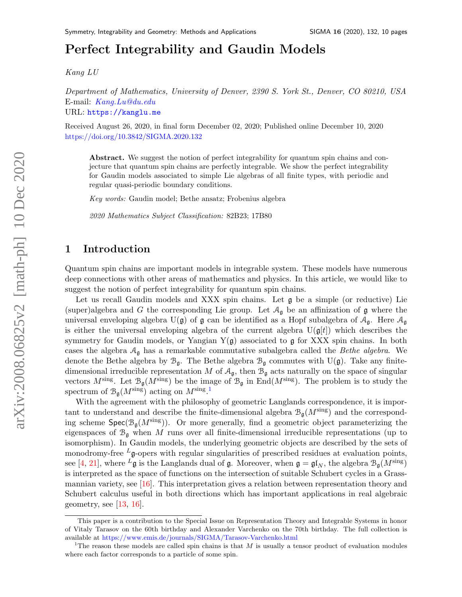# Perfect Integrability and Gaudin Model[s](#page-0-0)

Kang LU

Department of Mathematics, University of Denver, 2390 S. York St., Denver, CO 80210, USA E-mail: [Kang.Lu@du.edu](mailto:Kang.Lu@du.edu) URL: <https://kanglu.me>

Received August 26, 2020, in final form December 02, 2020; Published online December 10, 2020 <https://doi.org/10.3842/SIGMA.2020.132>

Abstract. We suggest the notion of perfect integrability for quantum spin chains and conjecture that quantum spin chains are perfectly integrable. We show the perfect integrability for Gaudin models associated to simple Lie algebras of all finite types, with periodic and regular quasi-periodic boundary conditions.

Key words: Gaudin model; Bethe ansatz; Frobenius algebra

2020 Mathematics Subject Classification: 82B23; 17B80

# 1 Introduction

Quantum spin chains are important models in integrable system. These models have numerous deep connections with other areas of mathematics and physics. In this article, we would like to suggest the notion of perfect integrability for quantum spin chains.

Let us recall Gaudin models and XXX spin chains. Let  $\mathfrak g$  be a simple (or reductive) Lie (super)algebra and G the corresponding Lie group. Let  $A_{\mathfrak{g}}$  be an affinization of  $\mathfrak g$  where the universal enveloping algebra  $U(\mathfrak{g})$  of  $\mathfrak{g}$  can be identified as a Hopf subalgebra of  $\mathcal{A}_{\mathfrak{g}}$ . Here  $\mathcal{A}_{\mathfrak{g}}$ is either the universal enveloping algebra of the current algebra  $U(\mathfrak{g}[t])$  which describes the symmetry for Gaudin models, or Yangian  $Y(g)$  associated to g for XXX spin chains. In both cases the algebra  $A_{\mathfrak{g}}$  has a remarkable commutative subalgebra called the *Bethe algebra*. We denote the Bethe algebra by  $\mathcal{B}_{\mathfrak{g}}$ . The Bethe algebra  $\mathcal{B}_{\mathfrak{g}}$  commutes with U( $\mathfrak{g}$ ). Take any finitedimensional irreducible representation M of  $A_{\mathfrak{g}}$ , then  $B_{\mathfrak{g}}$  acts naturally on the space of singular vectors  $M^{\text{sing}}$ . Let  $\mathcal{B}_{\mathfrak{g}}(M^{\text{sing}})$  be the image of  $\mathcal{B}_{\mathfrak{g}}$  in End $(M^{\text{sing}})$ . The problem is to study the spectrum of  $\mathcal{B}_{\mathfrak{g}}(M^{\text{sing}})$  acting on  $M^{\text{sing}}$ .

With the agreement with the philosophy of geometric Langlands correspondence, it is important to understand and describe the finite-dimensional algebra  $\mathcal{B}_{\mathfrak{a}}(M^{\text{sing}})$  and the corresponding scheme  $Spec(\mathcal{B}_{\mathfrak{g}}(M^{\text{sing}}))$ . Or more generally, find a geometric object parameterizing the eigenspaces of  $\mathcal{B}_{q}$  when M runs over all finite-dimensional irreducible representations (up to isomorphism). In Gaudin models, the underlying geometric objects are described by the sets of monodromy-free  $L_{\mathfrak{g}}$ -opers with regular singularities of prescribed residues at evaluation points, see [\[4,](#page-8-0) [21\]](#page-9-0), where  $^L\mathfrak{g}$  is the Langlands dual of  $\mathfrak{g}$ . Moreover, when  $\mathfrak{g} = \mathfrak{gl}_N$ , the algebra  $\mathcal{B}_{\mathfrak{g}}(M^{\text{sing}})$ is interpreted as the space of functions on the intersection of suitable Schubert cycles in a Grassmannian variety, see [\[16\]](#page-9-1). This interpretation gives a relation between representation theory and Schubert calculus useful in both directions which has important applications in real algebraic geometry, see  $[13, 16]$  $[13, 16]$  $[13, 16]$ .

<span id="page-0-0"></span>This paper is a contribution to the Special Issue on Representation Theory and Integrable Systems in honor of Vitaly Tarasov on the 60th birthday and Alexander Varchenko on the 70th birthday. The full collection is available at <https://www.emis.de/journals/SIGMA/Tarasov-Varchenko.html>

<span id="page-0-1"></span><sup>&</sup>lt;sup>1</sup>The reason these models are called spin chains is that M is usually a tensor product of evaluation modules where each factor corresponds to a particle of some spin.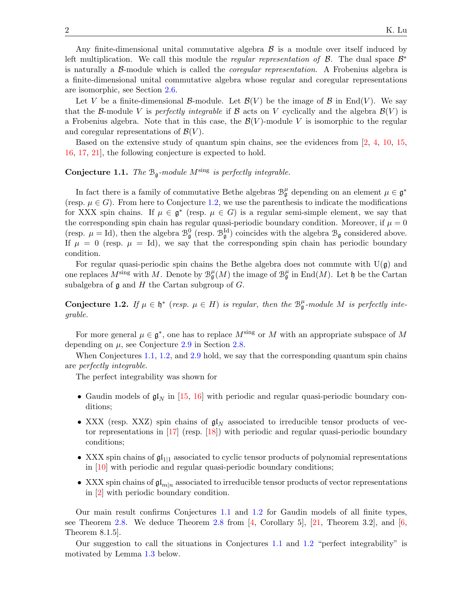Any finite-dimensional unital commutative algebra  $\beta$  is a module over itself induced by left multiplication. We call this module the *regular representation of B*. The dual space  $\mathcal{B}^*$ is naturally a B-module which is called the *coregular representation*. A Frobenius algebra is a finite-dimensional unital commutative algebra whose regular and coregular representations are isomorphic, see Section [2.6.](#page-6-0)

Let V be a finite-dimensional B-module. Let  $\mathcal{B}(V)$  be the image of B in End(V). We say that the B-module V is perfectly integrable if B acts on V cyclically and the algebra  $\mathcal{B}(V)$  is a Frobenius algebra. Note that in this case, the  $\mathcal{B}(V)$ -module V is isomorphic to the regular and coregular representations of  $\mathcal{B}(V)$ .

Based on the extensive study of quantum spin chains, see the evidences from [\[2,](#page-8-1) [4,](#page-8-0) [10,](#page-8-2) [15,](#page-9-3) [16,](#page-9-1) [17,](#page-9-4) [21\]](#page-9-0), the following conjecture is expected to hold.

## <span id="page-1-1"></span>**Conjecture 1.1.** The  $B_{\mathfrak{g}}$ -module M<sup>sing</sup> is perfectly integrable.

In fact there is a family of commutative Bethe algebras  $\mathcal{B}_{\mathfrak{g}}^{\mu}$  depending on an element  $\mu \in \mathfrak{g}^*$ (resp.  $\mu \in G$ ). From here to Conjecture [1.2,](#page-1-0) we use the parenthesis to indicate the modifications for XXX spin chains. If  $\mu \in \mathfrak{g}^*$  (resp.  $\mu \in G$ ) is a regular semi-simple element, we say that the corresponding spin chain has regular quasi-periodic boundary condition. Moreover, if  $\mu = 0$ (resp.  $\mu = Id$ ), then the algebra  $\mathcal{B}_{\mathfrak{g}}^0$  (resp.  $\mathcal{B}_{\mathfrak{g}}^{Id}$ ) coincides with the algebra  $\mathcal{B}_{\mathfrak{g}}$  considered above. If  $\mu = 0$  (resp.  $\mu = Id$ ), we say that the corresponding spin chain has periodic boundary condition.

For regular quasi-periodic spin chains the Bethe algebra does not commute with  $U(\mathfrak{g})$  and one replaces  $M^{\text{sing}}$  with M. Denote by  $\mathcal{B}_{\mathfrak{g}}^{\mu}(M)$  the image of  $\mathcal{B}_{\mathfrak{g}}^{\mu}$  in End $(M)$ . Let  $\mathfrak h$  be the Cartan subalgebra of  $\mathfrak g$  and  $H$  the Cartan subgroup of  $G$ .

<span id="page-1-0"></span>Conjecture 1.2. If  $\mu \in \mathfrak{h}^*$  (resp.  $\mu \in H$ ) is regular, then the  $\mathcal{B}_{\mathfrak{g}}^{\mu}$ -module M is perfectly integrable.

For more general  $\mu \in \mathfrak{g}^*$ , one has to replace  $M^{\text{sing}}$  or M with an appropriate subspace of M depending on  $\mu$ , see Conjecture [2.9](#page-8-3) in Section [2.8.](#page-8-4)

When Conjectures [1.1,](#page-1-1) [1.2,](#page-1-0) and [2.9](#page-8-3) hold, we say that the corresponding quantum spin chains are perfectly integrable.

The perfect integrability was shown for

- Gaudin models of  $\mathfrak{gl}_N$  in [\[15,](#page-9-3) [16\]](#page-9-1) with periodic and regular quasi-periodic boundary conditions;
- XXX (resp. XXZ) spin chains of  $\mathfrak{gl}_N$  associated to irreducible tensor products of vec-tor representations in [\[17\]](#page-9-4) (resp. [\[18\]](#page-9-5)) with periodic and regular quasi-periodic boundary conditions;
- XXX spin chains of  $\mathfrak{gl}_{1|1}$  associated to cyclic tensor products of polynomial representations in [\[10\]](#page-8-2) with periodic and regular quasi-periodic boundary conditions;
- XXX spin chains of  $\mathfrak{gl}_{m|n}$  associated to irreducible tensor products of vector representations in [\[2\]](#page-8-1) with periodic boundary condition.

Our main result confirms Conjectures [1.1](#page-1-1) and [1.2](#page-1-0) for Gaudin models of all finite types, see Theorem [2.8.](#page-7-0) We deduce Theorem [2.8](#page-7-0) from  $[4,$  Corollary 5,  $[21,$  Theorem 3.2, and  $[6,$ Theorem 8.1.5].

Our suggestion to call the situations in Conjectures [1.1](#page-1-1) and [1.2](#page-1-0) "perfect integrability" is motivated by Lemma [1.3](#page-2-0) below.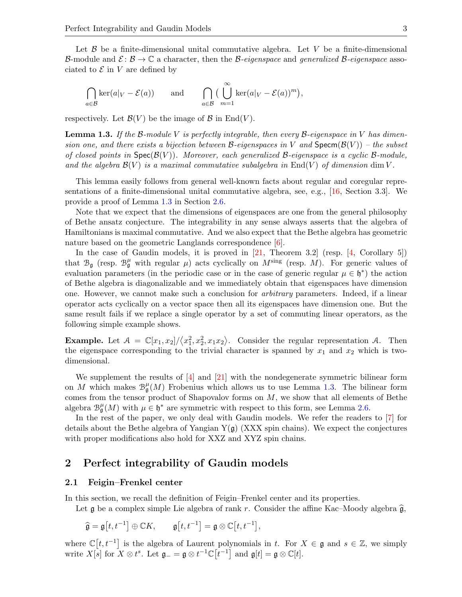Let  $\beta$  be a finite-dimensional unital commutative algebra. Let V be a finite-dimensional B-module and  $\mathcal{E}: \mathcal{B} \to \mathbb{C}$  a character, then the B-eigenspace and generalized B-eigenspace associated to  $\mathcal E$  in  $V$  are defined by

$$
\bigcap_{a \in \mathcal{B}} \ker(a|_V - \mathcal{E}(a)) \quad \text{and} \quad \bigcap_{a \in \mathcal{B}} \big(\bigcup_{m=1}^{\infty} \ker(a|_V - \mathcal{E}(a))^m\big),
$$

respectively. Let  $\mathcal{B}(V)$  be the image of  $\mathcal{B}$  in End(V).

<span id="page-2-0"></span>**Lemma 1.3.** If the B-module V is perfectly integrable, then every B-eigenspace in V has dimension one, and there exists a bijection between B-eigenspaces in V and  $Specm(\mathcal{B}(V))$  – the subset of closed points in  $Spec(\mathcal{B}(V))$ . Moreover, each generalized B-eigenspace is a cyclic B-module, and the algebra  $\mathcal{B}(V)$  is a maximal commutative subalgebra in End(V) of dimension dim V.

This lemma easily follows from general well-known facts about regular and coregular representations of a finite-dimensional unital commutative algebra, see, e.g., [\[16,](#page-9-1) Section 3.3]. We provide a proof of Lemma [1.3](#page-2-0) in Section [2.6.](#page-6-0)

Note that we expect that the dimensions of eigenspaces are one from the general philosophy of Bethe ansatz conjecture. The integrability in any sense always asserts that the algebra of Hamiltonians is maximal commutative. And we also expect that the Bethe algebra has geometric nature based on the geometric Langlands correspondence [\[6\]](#page-8-5).

In the case of Gaudin models, it is proved in [\[21,](#page-9-0) Theorem 3.2] (resp. [\[4,](#page-8-0) Corollary 5]) that  $\mathcal{B}_{\mathfrak{g}}$  (resp.  $\mathcal{B}_{\mathfrak{g}}^{\mu}$  with regular  $\mu$ ) acts cyclically on  $M^{\text{sing}}$  (resp. M). For generic values of evaluation parameters (in the periodic case or in the case of generic regular  $\mu \in \mathfrak{h}^*$ ) the action of Bethe algebra is diagonalizable and we immediately obtain that eigenspaces have dimension one. However, we cannot make such a conclusion for arbitrary parameters. Indeed, if a linear operator acts cyclically on a vector space then all its eigenspaces have dimension one. But the same result fails if we replace a single operator by a set of commuting linear operators, as the following simple example shows.

**Example.** Let  $A = \mathbb{C}[x_1, x_2]/\langle x_1^2, x_2^2, x_1x_2 \rangle$ . Consider the regular representation A. Then the eigenspace corresponding to the trivial character is spanned by  $x_1$  and  $x_2$  which is twodimensional.

We supplement the results of  $[4]$  and  $[21]$  with the nondegenerate symmetric bilinear form on M which makes  $\mathcal{B}_{\mathfrak{g}}^{\mu}(M)$  Frobenius which allows us to use Lemma [1.3.](#page-2-0) The bilinear form comes from the tensor product of Shapovalov forms on M, we show that all elements of Bethe algebra  $\mathcal{B}_{\mathfrak{g}}^{\mu}(M)$  with  $\mu \in \mathfrak{h}^*$  are symmetric with respect to this form, see Lemma [2.6.](#page-6-1)

In the rest of the paper, we only deal with Gaudin models. We refer the readers to [\[7\]](#page-8-6) for details about the Bethe algebra of Yangian  $Y(g)$  (XXX spin chains). We expect the conjectures with proper modifications also hold for XXZ and XYZ spin chains.

### 2 Perfect integrability of Gaudin models

#### 2.1 Feigin–Frenkel center

In this section, we recall the definition of Feigin–Frenkel center and its properties.

Let g be a complex simple Lie algebra of rank r. Consider the affine Kac–Moody algebra  $\hat{g}$ ,

$$
\widehat{\mathfrak{g}} = \mathfrak{g}[t, t^{-1}] \oplus \mathbb{C}K, \qquad \mathfrak{g}[t, t^{-1}] = \mathfrak{g} \otimes \mathbb{C}[t, t^{-1}],
$$

where  $\mathbb{C}[t, t^{-1}]$  is the algebra of Laurent polynomials in t. For  $X \in \mathfrak{g}$  and  $s \in \mathbb{Z}$ , we simply write  $X[s]$  for  $X \otimes t^s$ . Let  $\mathfrak{g}_{-} = \mathfrak{g} \otimes t^{-1} \mathbb{C}[t^{-1}]$  and  $\mathfrak{g}[t] = \mathfrak{g} \otimes \mathbb{C}[t]$ .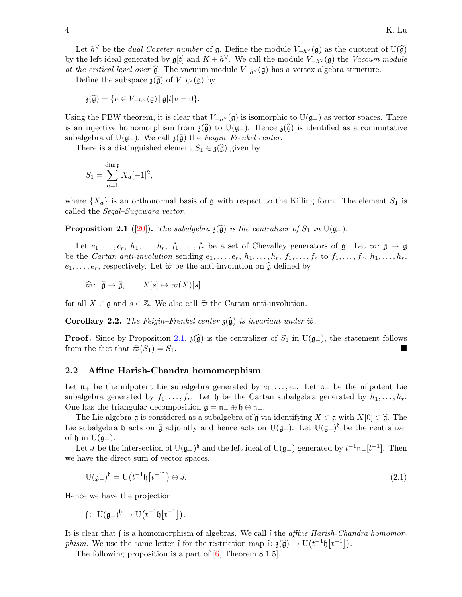Let  $h^{\vee}$  be the *dual Coxeter number* of **g**. Define the module  $V_{-h} \vee (\mathfrak{g})$  as the quotient of U( $\widehat{\mathfrak{g}}$ ) the left ideal generated by  $\mathfrak{g}^{[t]}$  and  $K + h^{\vee}$ . We sall the module  $V_{-h} \vee (\mathfrak{g})$  the by the left ideal generated by  $\mathfrak{g}[t]$  and  $K + h^{\vee}$ . We call the module  $V_{-h^{\vee}}(\mathfrak{g})$  the Vaccum module at the critical level over  $\hat{\mathfrak{g}}$ . The vacuum module  $V_{-h} \vee (\mathfrak{g})$  has a vertex algebra structure.

Define the subspace  $\mathfrak{z}(\widehat{\mathfrak{g}})$  of  $V_{-h} \vee (\mathfrak{g})$  by

$$
\mathfrak{z}(\widehat{\mathfrak{g}})=\{v\in V_{-h^\vee}(\mathfrak{g})\,|\,\mathfrak{g}[t]v=0\}.
$$

Using the PBW theorem, it is clear that  $V_{-h} \vee (\mathfrak{g})$  is isomorphic to  $U(\mathfrak{g}_-)$  as vector spaces. There is an injective homomorphism from  $\mathfrak{z}(\widehat{\mathfrak{g}})$  to  $U(\mathfrak{g}_-)$ . Hence  $\mathfrak{z}(\widehat{\mathfrak{g}})$  is identified as a commutative subalgebra of U( $\mathfrak{g}_-$ ). We call  $\mathfrak{z}(\widehat{\mathfrak{g}})$  the Feigin–Frenkel center.

There is a distinguished element  $S_1 \in \mathfrak{z}(\widehat{\mathfrak{g}})$  given by

$$
S_1 = \sum_{a=1}^{\dim \mathfrak{g}} X_a[-1]^2,
$$

where  $\{X_a\}$  is an orthonormal basis of  $\mathfrak g$  with respect to the Killing form. The element  $S_1$  is called the Segal–Sugawara vector.

<span id="page-3-0"></span>**Proposition 2.1** ([\[20\]](#page-9-6)). The subalgebra  $\mathfrak{z}(\widehat{\mathfrak{g}})$  is the centralizer of  $S_1$  in U( $\mathfrak{g}_-$ ).

Let  $e_1, \ldots, e_r, h_1, \ldots, h_r, f_1, \ldots, f_r$  be a set of Chevalley generators of  $\mathfrak{g}$ . Let  $\varpi: \mathfrak{g} \to \mathfrak{g}$ be the *Cartan anti-involution* sending  $e_1, \ldots, e_r, h_1, \ldots, h_r, f_1, \ldots, f_r$  to  $f_1, \ldots, f_r, h_1, \ldots, h_r$ ,  $e_1, \ldots, e_r$ , respectively. Let  $\widehat{\varpi}$  be the anti-involution on  $\widehat{\mathfrak{g}}$  defined by

$$
\widehat{\varpi} \colon \widehat{\mathfrak{g}} \to \widehat{\mathfrak{g}}, \qquad X[s] \mapsto \varpi(X)[s],
$$

for all  $X \in \mathfrak{g}$  and  $s \in \mathbb{Z}$ . We also call  $\widehat{\varpi}$  the Cartan anti-involution.

<span id="page-3-1"></span>**Corollary 2.2.** The Feigin–Frenkel center  $\mathfrak{z}(\widehat{\mathfrak{g}})$  is invariant under  $\widehat{\varpi}$ .

**Proof.** Since by Proposition [2.1,](#page-3-0)  $\mathfrak{z}(\widehat{\mathfrak{g}})$  is the centralizer of  $S_1$  in U( $\mathfrak{g}_-$ ), the statement follows from the fact that  $\widehat{\pi}(S_1) = S_1$ . from the fact that  $\widehat{\varpi}(S_1) = S_1$ .

#### 2.2 Affine Harish-Chandra homomorphism

Let  $\mathfrak{n}_+$  be the nilpotent Lie subalgebra generated by  $e_1, \ldots, e_r$ . Let  $\mathfrak{n}_-$  be the nilpotent Lie subalgebra generated by  $f_1, \ldots, f_r$ . Let  $\mathfrak h$  be the Cartan subalgebra generated by  $h_1, \ldots, h_r$ . One has the triangular decomposition  $\mathfrak{g} = \mathfrak{n}_- \oplus \mathfrak{h} \oplus \mathfrak{n}_+$ .

The Lie algebra g is considered as a subalgebra of  $\hat{\mathfrak{g}}$  via identifying  $X \in \mathfrak{g}$  with  $X[0] \in \hat{\mathfrak{g}}$ . The Lie subalgebra h acts on  $\hat{\mathfrak{g}}$  adjointly and hence acts on U( $\mathfrak{g}_-$ ). Let U( $\mathfrak{g}_-$ )<sup>h</sup> be the centralizer of  $\mathfrak h$  in U( $\mathfrak g$ <sub>−</sub>).

Let *J* be the intersection of U( $\mathfrak{g}_-$ )<sup> $\mathfrak{h}$ </sup> and the left ideal of U( $\mathfrak{g}_-$ ) generated by  $t^{-1}\mathfrak{n}_-[t^{-1}]$ . Then we have the direct sum of vector spaces,

<span id="page-3-2"></span>
$$
U(\mathfrak{g}_{-})^{\mathfrak{h}} = U(t^{-1}\mathfrak{h}[t^{-1}]) \oplus J. \tag{2.1}
$$

Hence we have the projection

$$
\mathfrak{f}\colon\,\operatorname{U}(\mathfrak{g}_-)^{\mathfrak{h}}\rightarrow\operatorname{U}\big(t^{-1}\mathfrak{h}\big[t^{-1}\big]\big).
$$

It is clear that f is a homomorphism of algebras. We call f the *affine Harish-Chandra homomor*phism. We use the same letter f for the restriction map  $f: \mathfrak{z}(\widehat{\mathfrak{g}}) \to U(t^{-1}\mathfrak{h}[t^{-1}])$ .<br>The following proposition is a part of  $[\mathfrak{g}]$ . Theorem  $S$  1.51

The following proposition is a part of  $[6,$  Theorem 8.1.5.].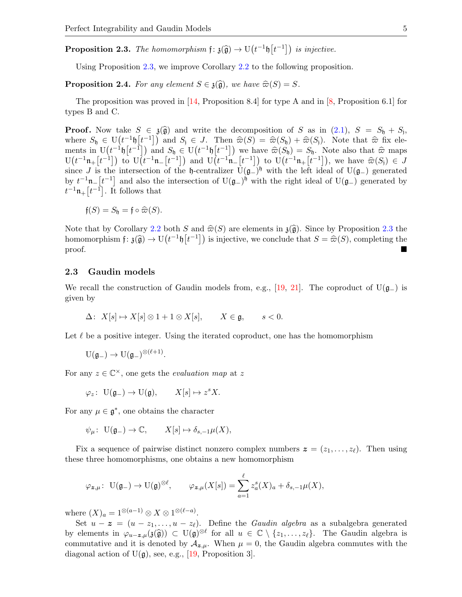<span id="page-4-0"></span>**Proposition 2.3.** The homomorphism  $f: \mathfrak{z}(\widehat{\mathfrak{g}}) \to U(t^{-1}\mathfrak{h}[t^{-1}])$  is injective.

Using Proposition [2.3,](#page-4-0) we improve Corollary [2.2](#page-3-1) to the following proposition.

<span id="page-4-1"></span>**Proposition 2.4.** For any element  $S \in \mathfrak{z}(\widehat{\mathfrak{g}})$ , we have  $\widehat{\varpi}(S) = S$ .

The proposition was proved in  $[14,$  Proposition 8.4] for type A and in [\[8,](#page-8-7) Proposition 6.1] for types B and C.

**Proof.** Now take  $S \in \mathfrak{z}(\widehat{\mathfrak{g}})$  and write the decomposition of S as in  $(2.1)$ ,  $S = S_{\mathfrak{h}} + S_{\mathfrak{h}}$ , where  $S \subset \mathfrak{g}(\mathfrak{t}^{(1)} + \mathfrak{h}(\mathfrak{t}^{-1}))$  and  $S \subset I$ . Then  $\widehat{\pi}(S) = \widehat{\pi}(S) + \widehat{\pi}(S)$ . Note that where  $S_b \in U(t^{-1}b[t^{-1}])$  and  $S_i \in J$ . Then  $\hat{\varpi}(S) = \hat{\varpi}(S_b) + \hat{\varpi}(S_i)$ . Note that  $\hat{\varpi}$  fix ele-<br>ments in  $U(t^{-1}b[t^{-1}])$  and  $S_i \in U(t^{-1}b[t^{-1}])$  we have  $\hat{\varpi}(S_i) = S_i$ . Note also that  $\hat{\varpi}$  mana ments in  $U(t^{-1}\mathfrak{h}[t^{-1}])$  and  $S_{\mathfrak{h}} \in U(t^{-1}\mathfrak{h}[t^{-1}])$  we have  $\widehat{\varpi}(S_{\mathfrak{h}}) = S_{\mathfrak{h}}$ . Note also that  $\widehat{\varpi}$  maps<br> $U(t^{-1}\mathfrak{n}[t^{-1}])$  to  $U(t^{-1}\mathfrak{n}[t^{-1}])$  and  $U(t^{-1}\mathfrak{n}[t^{-1}])$  to  $U(t^{-1}\mathfrak{n}[t^{-1}])$  we have  $U(t^{-1}n+[t^{-1}])$  to  $U(t^{-1}n-[t^{-1}])$  and  $U(t^{-1}n-[t^{-1}])$  to  $U(t^{-1}n+[t^{-1}])$ , we have  $\hat{\varpi}(S_i) \in J$ <br>since I is the intersection of the h controlliger  $U(s^{-1}n+[t^{-1}])$ , we have  $\hat{\varpi}(S_i) \in J$ since J is the intersection of the h-centralizer  $\tilde{U}(\mathfrak{g}_-)^{\mathfrak{h}}$  with the left ideal of  $U(\mathfrak{g}_-)$  generated by  $t^{-1}\mathfrak{n}$ - $[t^{-1}]$  and also the intersection of U( $\mathfrak{g}$ -)<sup>h</sup> with the right ideal of U( $\mathfrak{g}$ -) generated by  $t^{-1}\mathfrak{n}_+[t^{-1}]$ . It follows that

$$
\mathfrak{f}(S)=S_{\mathfrak{h}}=\mathfrak{f}\circ\widehat{\varpi}(S).
$$

Note that by Corollary [2.2](#page-3-1) both S and  $\hat{\varpi}(S)$  are elements in  $\mathfrak{z}(\hat{\mathfrak{g}})$ . Since by Proposition [2.3](#page-4-0) the homomorphism  $f: \mathfrak{z}(\widehat{\mathfrak{g}}) \to U(t^{-1}\mathfrak{h}[t^{-1}])$  is injective, we conclude that  $S = \widehat{\varpi}(S)$ , completing the proof.

#### 2.3 Gaudin models

We recall the construction of Gaudin models from, e.g., [\[19,](#page-9-8) [21\]](#page-9-0). The coproduct of  $U(\mathfrak{g}_-)$  is given by

 $\Delta$ :  $X[s] \mapsto X[s] \otimes 1 + 1 \otimes X[s], \qquad X \in \mathfrak{g}, \qquad s < 0.$ 

Let  $\ell$  be a positive integer. Using the iterated coproduct, one has the homomorphism

$$
\mathrm{U}(\mathfrak{g}_-)\to \mathrm{U}(\mathfrak{g}_-)^{\otimes (\ell+1)}.
$$

For any  $z \in \mathbb{C}^{\times}$ , one gets the *evaluation map* at z

$$
\varphi_z\colon\ \mathcal{U}(\mathfrak{g}_-) \to \mathcal{U}(\mathfrak{g}), \qquad X[s] \mapsto z^s X.
$$

For any  $\mu \in \mathfrak{g}^*$ , one obtains the character

$$
\psi_{\mu}
$$
:  $U(\mathfrak{g}_{-}) \to \mathbb{C}, \qquad X[s] \mapsto \delta_{s,-1}\mu(X),$ 

Fix a sequence of pairwise distinct nonzero complex numbers  $\boldsymbol{z} = (z_1, \ldots, z_\ell)$ . Then using these three homomorphisms, one obtains a new homomorphism

$$
\varphi_{\bm{z},\mu}\colon\ {\rm U}(\mathfrak{g}_-)\to {\rm U}(\mathfrak{g})^{\otimes \ell}, \qquad \varphi_{\bm{z},\mu}(X[s])=\sum_{a=1}^\ell z_a^s(X)_a+\delta_{s,-1}\mu(X),
$$

where  $(X)_a = 1^{\otimes (a-1)} \otimes X \otimes 1^{\otimes (\ell-a)}$ .

Set  $u - z = (u - z_1, \ldots, u - z_\ell)$ . Define the *Gaudin algebra* as a subalgebra generated by elements in  $\varphi_{u-z,\mu}(\mathfrak{z}(\widehat{\mathfrak{g}})) \subset U(\mathfrak{g})^{\otimes \ell}$  for all  $u \in \mathbb{C} \setminus \{z_1,\ldots,z_\ell\}$ . The Gaudin algebra is commutative and it is denoted by  $\mathcal{A}_{z,\mu}$ . When  $\mu = 0$ , the Gaudin algebra commutes with the diagonal action of  $U(\mathfrak{g})$ , see, e.g., [\[19,](#page-9-8) Proposition 3].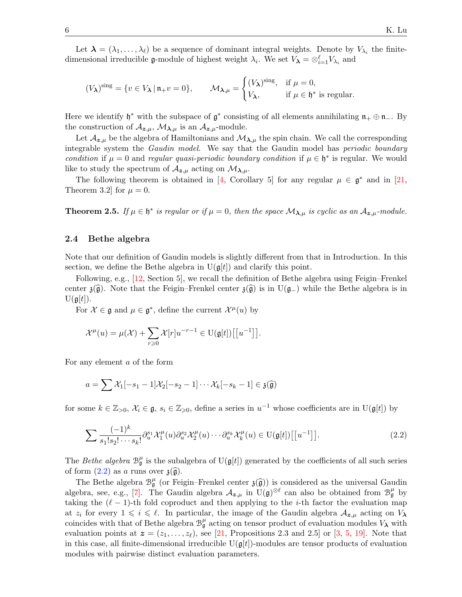Let  $\lambda = (\lambda_1, \ldots, \lambda_\ell)$  be a sequence of dominant integral weights. Denote by  $V_{\lambda_i}$  the finitedimensional irreducible **g**-module of highest weight  $\lambda_i$ . We set  $V_{\lambda} = \otimes_{i=1}^{\ell} V_{\lambda_i}$  and

$$
(V_{\lambda})^{\text{sing}} = \{ v \in V_{\lambda} \mid \mathfrak{n}_{+}v = 0 \}, \qquad \mathcal{M}_{\lambda,\mu} = \begin{cases} (V_{\lambda})^{\text{sing}}, & \text{if } \mu = 0, \\ V_{\lambda}, & \text{if } \mu \in \mathfrak{h}^* \text{ is regular.} \end{cases}
$$

Here we identify  $\mathfrak{h}^*$  with the subspace of  $\mathfrak{g}^*$  consisting of all elements annihilating  $\mathfrak{n}_+ \oplus \mathfrak{n}_-$ . By the construction of  $A_{z,\mu}$ ,  $\mathcal{M}_{\lambda,\mu}$  is an  $A_{z,\mu}$ -module.

Let  $\mathcal{A}_{z,\mu}$  be the algebra of Hamiltonians and  $\mathcal{M}_{\lambda,\mu}$  the spin chain. We call the corresponding integrable system the Gaudin model. We say that the Gaudin model has periodic boundary condition if  $\mu = 0$  and regular quasi-periodic boundary condition if  $\mu \in \mathfrak{h}^*$  is regular. We would like to study the spectrum of  $A_{z,\mu}$  acting on  $\mathcal{M}_{\lambda,\mu}$ .

The following theorem is obtained in [\[4,](#page-8-0) Corollary 5] for any regular  $\mu \in \mathfrak{g}^*$  and in [\[21,](#page-9-0) Theorem 3.2 for  $\mu = 0$ .

<span id="page-5-1"></span>**Theorem 2.5.** If  $\mu \in \mathfrak{h}^*$  is regular or if  $\mu = 0$ , then the space  $\mathcal{M}_{\lambda,\mu}$  is cyclic as an  $\mathcal{A}_{\mathbf{z},\mu}$ -module.

#### 2.4 Bethe algebra

Note that our definition of Gaudin models is slightly different from that in Introduction. In this section, we define the Bethe algebra in  $U(\mathfrak{g}[t])$  and clarify this point.

Following, e.g., [\[12,](#page-9-9) Section 5], we recall the definition of Bethe algebra using Feigin–Frenkel center  $\mathfrak{z}(\widehat{\mathfrak{g}})$ . Note that the Feigin–Frenkel center  $\mathfrak{z}(\widehat{\mathfrak{g}})$  is in U( $\mathfrak{g}_-$ ) while the Bethe algebra is in  $U(g[t])$ .

For  $\mathcal{X} \in \mathfrak{g}$  and  $\mu \in \mathfrak{g}^*$ , define the current  $\mathcal{X}^{\mu}(u)$  by

$$
\mathcal{X}^{\mu}(u) = \mu(\mathcal{X}) + \sum_{r \geq 0} \mathcal{X}[r]u^{-r-1} \in \mathrm{U}(\mathfrak{g}[t])\big[[u^{-1}]\big].
$$

For any element a of the form

$$
a = \sum \mathcal{X}_1[-s_1-1]\mathcal{X}_2[-s_2-1]\cdots \mathcal{X}_k[-s_k-1] \in \mathfrak{z}(\widehat{\mathfrak{g}})
$$

for some  $k \in \mathbb{Z}_{>0}$ ,  $\mathcal{X}_i \in \mathfrak{g}$ ,  $s_i \in \mathbb{Z}_{\geqslant 0}$ , define a series in  $u^{-1}$  whose coefficients are in U( $\mathfrak{g}[t]$ ) by

<span id="page-5-0"></span>
$$
\sum \frac{(-1)^k}{s_1! s_2! \cdots s_k!} \partial_u^{s_1} \mathcal{X}_1^{\mu}(u) \partial_u^{s_2} \mathcal{X}_2^{\mu}(u) \cdots \partial_u^{s_k} \mathcal{X}_k^{\mu}(u) \in \mathrm{U}(\mathfrak{g}[t]) \big[ \big[ u^{-1} \big] \big]. \tag{2.2}
$$

The Bethe algebra  $\mathcal{B}_{\mathfrak{g}}^{\mu}$  is the subalgebra of  $U(\mathfrak{g}[t])$  generated by the coefficients of all such series of form  $(2.2)$  as a runs over  $\mathfrak{z}(\widehat{\mathfrak{g}})$ .

The Bethe algebra  $\mathcal{B}_{\mathfrak{g}}^{\mu}$  (or Feigin–Frenkel center  $\mathfrak{z}(\widehat{\mathfrak{g}})$ ) is considered as the universal Gaudin<br>shape assessed  $\mathbb{Z}^{\mu}$ . The Gaudin algebra  $A$  in  $U(\mathfrak{z})^{\otimes \ell}$  can also be abtained fro algebra, see, e.g., [\[7\]](#page-8-6). The Gaudin algebra  $\mathcal{A}_{z,\mu}$  in  $\mathcal{U}(\mathfrak{g})^{\otimes \ell}$  can also be obtained from  $\mathcal{B}_{\mathfrak{g}}^{\mu}$  by taking the  $(\ell - 1)$ -th fold coproduct and then applying to the *i*-th factor the evaluation map at  $z_i$  for every  $1 \leq i \leq \ell$ . In particular, the image of the Gaudin algebra  $\mathcal{A}_{z,\mu}$  acting on  $V_{\lambda}$ coincides with that of Bethe algebra  $\mathcal{B}_{\mathfrak{g}}^{\mu}$  acting on tensor product of evaluation modules  $V_{\lambda}$  with evaluation points at  $\mathbf{z} = (z_1, \ldots, z_\ell)$ , see [\[21,](#page-9-0) Propositions 2.3 and 2.5] or [\[3,](#page-8-8) [5,](#page-8-9) [19\]](#page-9-8). Note that in this case, all finite-dimensional irreducible  $U(g[t])$ -modules are tensor products of evaluation modules with pairwise distinct evaluation parameters.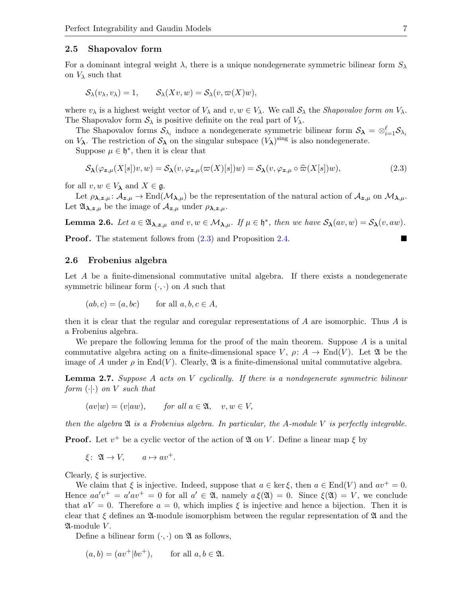#### 2.5 Shapovalov form

For a dominant integral weight  $\lambda$ , there is a unique nondegenerate symmetric bilinear form  $S_{\lambda}$ on  $V_{\lambda}$  such that

$$
\mathcal{S}_{\lambda}(v_{\lambda}, v_{\lambda}) = 1, \qquad \mathcal{S}_{\lambda}(Xv, w) = \mathcal{S}_{\lambda}(v, \varpi(X)w),
$$

where  $v_{\lambda}$  is a highest weight vector of  $V_{\lambda}$  and  $v, w \in V_{\lambda}$ . We call  $S_{\lambda}$  the *Shapovalov form on*  $V_{\lambda}$ . The Shapovalov form  $S_\lambda$  is positive definite on the real part of  $V_\lambda$ .

The Shapovalov forms  $S_{\lambda_i}$  induce a nondegenerate symmetric bilinear form  $S_{\lambda} = \otimes_{i=1}^{\ell} S_{\lambda_i}$ on  $V_{\lambda}$ . The restriction of  $S_{\lambda}$  on the singular subspace  $(V_{\lambda})^{\text{sing}}$  is also nondegenerate.

Suppose  $\mu \in \mathfrak{h}^*$ , then it is clear that

<span id="page-6-2"></span>
$$
\mathcal{S}_{\lambda}(\varphi_{\mathbf{z},\mu}(X[s])v,w) = \mathcal{S}_{\lambda}(v,\varphi_{\mathbf{z},\mu}(\varpi(X)[s])w) = \mathcal{S}_{\lambda}(v,\varphi_{\mathbf{z},\mu} \circ \widehat{\varpi}(X[s])w),\tag{2.3}
$$

for all  $v, w \in V_{\lambda}$  and  $X \in \mathfrak{g}$ .

Let  $\rho_{\lambda,z,\mu} : \mathcal{A}_{z,\mu} \to \text{End}(\mathcal{M}_{\lambda,\mu})$  be the representation of the natural action of  $\mathcal{A}_{z,\mu}$  on  $\mathcal{M}_{\lambda,\mu}$ . Let  $\mathfrak{A}_{\lambda,z,\mu}$  be the image of  $\mathcal{A}_{z,\mu}$  under  $\rho_{\lambda,z,\mu}$ .

<span id="page-6-1"></span>**Lemma 2.6.** Let  $a \in \mathfrak{A}_{\lambda,z,\mu}$  and  $v, w \in \mathcal{M}_{\lambda,\mu}$ . If  $\mu \in \mathfrak{h}^*$ , then we have  $\mathcal{S}_{\lambda}(av,w) = \mathcal{S}_{\lambda}(v, aw)$ .

**Proof.** The statement follows from  $(2.3)$  and Proposition [2.4.](#page-4-1)

#### <span id="page-6-0"></span>2.6 Frobenius algebra

Let A be a finite-dimensional commutative unital algebra. If there exists a nondegenerate symmetric bilinear form  $(\cdot, \cdot)$  on A such that

$$
(ab, c) = (a, bc) \qquad \text{for all } a, b, c \in A,
$$

then it is clear that the regular and coregular representations of A are isomorphic. Thus A is a Frobenius algebra.

We prepare the following lemma for the proof of the main theorem. Suppose  $A$  is a unital commutative algebra acting on a finite-dimensional space V,  $\rho: A \to \text{End}(V)$ . Let  $\mathfrak{A}$  be the image of A under  $\rho$  in End(V). Clearly,  $\mathfrak A$  is a finite-dimensional unital commutative algebra.

<span id="page-6-3"></span>**Lemma 2.7.** Suppose A acts on V cyclically. If there is a nondegenerate symmetric bilinear form  $(\cdot | \cdot)$  on V such that

$$
(av|w) = (v|aw),
$$
 for all  $a \in \mathfrak{A}$ ,  $v, w \in V$ ,

then the algebra  $\mathfrak A$  is a Frobenius algebra. In particular, the A-module V is perfectly integrable.

**Proof.** Let  $v^+$  be a cyclic vector of the action of  $\mathfrak A$  on V. Define a linear map  $\xi$  by

 $\xi$ :  $\mathfrak{A} \to V$ ,  $a \mapsto av^+.$ 

Clearly,  $\xi$  is surjective.

We claim that  $\xi$  is injective. Indeed, suppose that  $a \in \text{ker} \xi$ , then  $a \in \text{End}(V)$  and  $av^+ = 0$ . Hence  $aa'v^+ = a'av^+ = 0$  for all  $a' \in \mathfrak{A}$ , namely  $a \xi(\mathfrak{A}) = 0$ . Since  $\xi(\mathfrak{A}) = V$ , we conclude that  $aV = 0$ . Therefore  $a = 0$ , which implies  $\xi$  is injective and hence a bijection. Then it is clear that  $\xi$  defines an  $\mathfrak{A}$ -module isomorphism between the regular representation of  $\mathfrak{A}$  and the  $\mathfrak A$ -module  $V$ .

Define a bilinear form  $(\cdot, \cdot)$  on  $\mathfrak{A}$  as follows,

$$
(a, b) = (av^+|bv^+), \qquad \text{for all } a, b \in \mathfrak{A}.
$$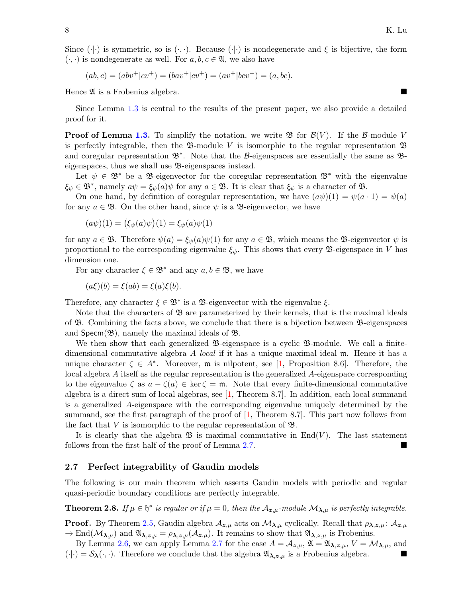Since  $(\cdot|\cdot)$  is symmetric, so is  $(\cdot,\cdot)$ . Because  $(\cdot|\cdot)$  is nondegenerate and  $\xi$  is bijective, the form  $(\cdot, \cdot)$  is nondegenerate as well. For  $a, b, c \in \mathfrak{A}$ , we also have

 $(ab, c) = (abv^+|cv^+) = (bav^+|cv^+) = (av^+|bcv^+) = (a, bc).$ 

Hence  $\mathfrak A$  is a Frobenius algebra.

Since Lemma [1.3](#page-2-0) is central to the results of the present paper, we also provide a detailed proof for it.

**Proof of Lemma [1.3.](#page-2-0)** To simplify the notation, we write  $\mathfrak{B}$  for  $\mathcal{B}(V)$ . If the  $\mathcal{B}$ -module V is perfectly integrable, then the  $\mathfrak{B}\text{-module }V$  is isomorphic to the regular representation  $\mathfrak{B}$ and coregular representation  $\mathfrak{B}^*$ . Note that the B-eigenspaces are essentially the same as  $\mathfrak{B}$ eigenspaces, thus we shall use B-eigenspaces instead.

Let  $\psi \in \mathfrak{B}^*$  be a  $\mathfrak{B}$ -eigenvector for the coregular representation  $\mathfrak{B}^*$  with the eigenvalue  $\xi_{\psi} \in \mathfrak{B}^*$ , namely  $a\psi = \xi_{\psi}(a)\psi$  for any  $a \in \mathfrak{B}$ . It is clear that  $\xi_{\psi}$  is a character of  $\mathfrak{B}$ .

On one hand, by definition of coregular representation, we have  $(a\psi)(1) = \psi(a \cdot 1) = \psi(a)$ for any  $a \in \mathfrak{B}$ . On the other hand, since  $\psi$  is a  $\mathfrak{B}$ -eigenvector, we have

$$
(a\psi)(1) = (\xi_{\psi}(a)\psi)(1) = \xi_{\psi}(a)\psi(1)
$$

for any  $a \in \mathfrak{B}$ . Therefore  $\psi(a) = \xi_{\psi}(a)\psi(1)$  for any  $a \in \mathfrak{B}$ , which means the **B**-eigenvector  $\psi$  is proportional to the corresponding eigenvalue  $\xi_{\psi}$ . This shows that every **B**-eigenspace in V has dimension one.

For any character  $\xi \in \mathfrak{B}^*$  and any  $a, b \in \mathfrak{B}$ , we have

 $(a\xi)(b) = \xi(ab) = \xi(a)\xi(b).$ 

Therefore, any character  $\xi \in \mathfrak{B}^*$  is a  $\mathfrak{B}$ -eigenvector with the eigenvalue  $\xi$ .

Note that the characters of  $\mathfrak{B}$  are parameterized by their kernels, that is the maximal ideals of B. Combining the facts above, we conclude that there is a bijection between B-eigenspaces and  $Specm(\mathfrak{B})$ , namely the maximal ideals of  $\mathfrak{B}$ .

We then show that each generalized  $\mathfrak{B}$ -eigenspace is a cyclic  $\mathfrak{B}$ -module. We call a finitedimensional commutative algebra A local if it has a unique maximal ideal m. Hence it has a unique character  $\zeta \in A^*$ . Moreover, m is nilpotent, see [\[1,](#page-8-10) Proposition 8.6]. Therefore, the local algebra A itself as the regular representation is the generalized A-eigenspace corresponding to the eigenvalue  $\zeta$  as  $a - \zeta(a) \in \text{ker } \zeta = \mathfrak{m}$ . Note that every finite-dimensional commutative algebra is a direct sum of local algebras, see [\[1,](#page-8-10) Theorem 8.7]. In addition, each local summand is a generalized A-eigenspace with the corresponding eigenvalue uniquely determined by the summand, see the first paragraph of the proof of  $[1,$  Theorem 8.7. This part now follows from the fact that V is isomorphic to the regular representation of  $\mathfrak{B}$ .

It is clearly that the algebra  $\mathfrak{B}$  is maximal commutative in End(V). The last statement follows from the first half of the proof of Lemma [2.7.](#page-6-3)

#### 2.7 Perfect integrability of Gaudin models

The following is our main theorem which asserts Gaudin models with periodic and regular quasi-periodic boundary conditions are perfectly integrable.

<span id="page-7-0"></span>**Theorem 2.8.** If  $\mu \in \mathfrak{h}^*$  is regular or if  $\mu = 0$ , then the  $\mathcal{A}_{\mathbf{z},\mu}$ -module  $\mathcal{M}_{\lambda,\mu}$  is perfectly integrable.

**Proof.** By Theorem [2.5,](#page-5-1) Gaudin algebra  $A_{z,\mu}$  acts on  $M_{\lambda,\mu}$  cyclically. Recall that  $\rho_{\lambda,z,\mu}$ :  $A_{z,\mu}$  $\to \text{End}(\mathcal{M}_{\lambda,\mu})$  and  $\mathfrak{A}_{\lambda,z,\mu} = \rho_{\lambda,z,\mu}(\mathcal{A}_{z,\mu})$ . It remains to show that  $\mathfrak{A}_{\lambda,z,\mu}$  is Frobenius.

By Lemma [2.6,](#page-6-1) we can apply Lemma [2.7](#page-6-3) for the case  $A = A_{\mathbf{z},\mu}$ ,  $\mathfrak{A} = \mathfrak{A}_{\lambda,\mathbf{z},\mu}$ ,  $V = M_{\lambda,\mu}$ , and  $(\cdot|\cdot) = \mathcal{S}_{\lambda}(\cdot,\cdot)$ . Therefore we conclude that the algebra  $\mathfrak{A}_{\lambda,z,\mu}$  is a Frobenius algebra.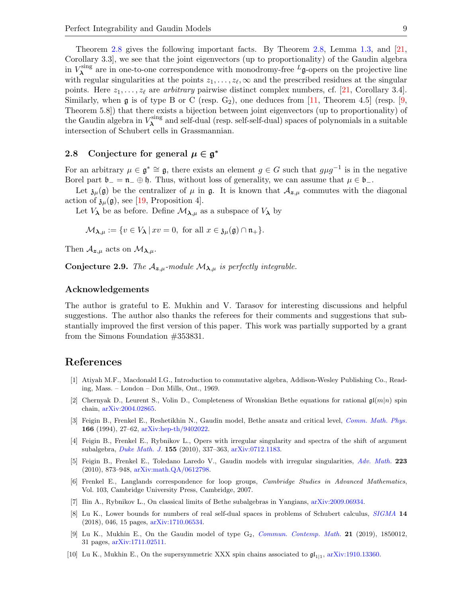Theorem [2.8](#page-7-0) gives the following important facts. By Theorem [2.8,](#page-7-0) Lemma [1.3,](#page-2-0) and [\[21,](#page-9-0) Corollary 3.3], we see that the joint eigenvectors (up to proportionality) of the Gaudin algebra in  $V_{\lambda}^{\text{sing}}$  $\lambda^{\text{sing}}$  are in one-to-one correspondence with monodromy-free  $^L$ **g**-opers on the projective line with regular singularities at the points  $z_1, \ldots, z_{\ell}, \infty$  and the prescribed residues at the singular points. Here  $z_1, \ldots, z_\ell$  are arbitrary pairwise distinct complex numbers, cf. [\[21,](#page-9-0) Corollary 3.4]. Similarly, when  $\mathfrak g$  is of type B or C (resp.  $G_2$ ), one deduces from [\[11,](#page-9-10) Theorem 4.5] (resp. [\[9,](#page-8-11) Theorem 5.8]) that there exists a bijection between joint eigenvectors (up to proportionality) of the Gaudin algebra in  $V_{\lambda}^{\text{sing}}$  $\lambda^{\text{sing}}$  and self-dual (resp. self-self-dual) spaces of polynomials in a suitable intersection of Schubert cells in Grassmannian.

### <span id="page-8-4"></span>2.8 Conjecture for general  $\mu \in \mathfrak{g}^*$

For an arbitrary  $\mu \in \mathfrak{g}^* \cong \mathfrak{g}$ , there exists an element  $g \in G$  such that  $g\mu g^{-1}$  is in the negative Borel part  $\mathfrak{b}_- = \mathfrak{n}_-\oplus \mathfrak{h}$ . Thus, without loss of generality, we can assume that  $\mu \in \mathfrak{b}_-$ .

Let  $\mathfrak{z}_{\mu}(\mathfrak{g})$  be the centralizer of  $\mu$  in  $\mathfrak{g}$ . It is known that  $\mathcal{A}_{z,\mu}$  commutes with the diagonal action of  $\mathfrak{z}_{\mu}(\mathfrak{g})$ , see [\[19,](#page-9-8) Proposition 4].

Let  $V_{\lambda}$  be as before. Define  $\mathcal{M}_{\lambda,\mu}$  as a subspace of  $V_{\lambda}$  by

$$
\mathcal{M}_{\lambda,\mu} := \{ v \in V_{\lambda} \, | \, xv = 0, \text{ for all } x \in \mathfrak{z}_{\mu}(\mathfrak{g}) \cap \mathfrak{n}_{+} \}.
$$

Then  $\mathcal{A}_{z,\mu}$  acts on  $\mathcal{M}_{\lambda,\mu}$ .

<span id="page-8-3"></span>Conjecture 2.9. The  $\mathcal{A}_{z,\mu}$ -module  $\mathcal{M}_{\lambda,\mu}$  is perfectly integrable.

#### Acknowledgements

The author is grateful to E. Mukhin and V. Tarasov for interesting discussions and helpful suggestions. The author also thanks the referees for their comments and suggestions that substantially improved the first version of this paper. This work was partially supported by a grant from the Simons Foundation #353831.

### References

- <span id="page-8-10"></span>[1] Atiyah M.F., Macdonald I.G., Introduction to commutative algebra, Addison-Wesley Publishing Co., Reading, Mass. – London – Don Mills, Ont., 1969.
- <span id="page-8-1"></span>[2] Chernyak D., Leurent S., Volin D., Completeness of Wronskian Bethe equations for rational  $\mathfrak{gl}(m|n)$  spin chain, [arXiv:2004.02865.](https://arxiv.org/abs/2004.02865)
- <span id="page-8-8"></span>[3] Feigin B., Frenkel E., Reshetikhin N., Gaudin model, Bethe ansatz and critical level, [Comm. Math. Phys.](https://doi.org/10.1007/BF02099300) 166 (1994), 27–62, [arXiv:hep-th/9402022.](https://arxiv.org/abs/hep-th/9402022)
- <span id="page-8-0"></span>[4] Feigin B., Frenkel E., Rybnikov L., Opers with irregular singularity and spectra of the shift of argument subalgebra, [Duke Math. J.](https://doi.org/10.1215/00127094-2010-057) 155 (2010), 337–363, [arXiv:0712.1183.](https://arxiv.org/abs/0712.1183)
- <span id="page-8-9"></span>[5] Feigin B., Frenkel E., Toledano Laredo V., Gaudin models with irregular singularities, [Adv. Math.](https://doi.org/10.1016/j.aim.2009.09.007) 223 (2010), 873–948, [arXiv:math.QA/0612798.](https://arxiv.org/abs/math.QA/0612798)
- <span id="page-8-5"></span>[6] Frenkel E., Langlands correspondence for loop groups, Cambridge Studies in Advanced Mathematics, Vol. 103, Cambridge University Press, Cambridge, 2007.
- <span id="page-8-6"></span>[7] Ilin A., Rybnikov L., On classical limits of Bethe subalgebras in Yangians, [arXiv:2009.06934.](https://arxiv.org/abs/2009.06934)
- <span id="page-8-7"></span>[8] Lu K., Lower bounds for numbers of real self-dual spaces in problems of Schubert calculus, [SIGMA](https://doi.org/10.3842/SIGMA.2018.046) 14 (2018), 046, 15 pages, [arXiv:1710.06534.](https://arxiv.org/abs/1710.06534)
- <span id="page-8-11"></span>[9] Lu K., Mukhin E., On the Gaudin model of type G<sub>2</sub>, *[Commun. Contemp. Math.](https://doi.org/10.1142/S0219199718500128)* **21** (2019), 1850012, 31 pages, [arXiv:1711.02511.](https://arxiv.org/abs/1711.02511)
- <span id="page-8-2"></span>[10] Lu K., Mukhin E., On the supersymmetric XXX spin chains associated to  $\mathfrak{gl}_{1|1}$ , [arXiv:1910.13360.](https://arxiv.org/abs/1910.13360)